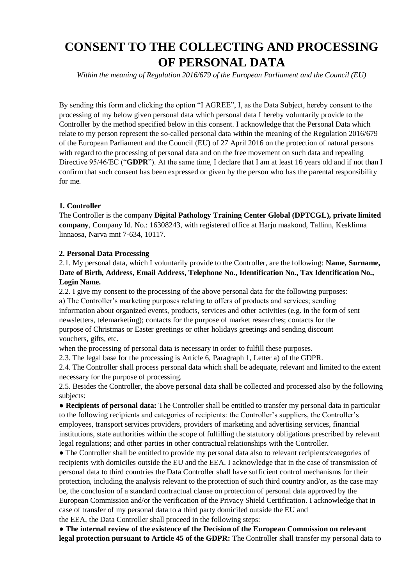## **CONSENT TO THE COLLECTING AND PROCESSING OF PERSONAL DATA**

*Within the meaning of Regulation 2016/679 of the European Parliament and the Council (EU)*

By sending this form and clicking the option "I AGREE", I, as the Data Subject, hereby consent to the processing of my below given personal data which personal data I hereby voluntarily provide to the Controller by the method specified below in this consent. I acknowledge that the Personal Data which relate to my person represent the so-called personal data within the meaning of the Regulation 2016/679 of the European Parliament and the Council (EU) of 27 April 2016 on the protection of natural persons with regard to the processing of personal data and on the free movement on such data and repealing Directive 95/46/EC ("**GDPR**"). At the same time, I declare that I am at least 16 years old and if not than I confirm that such consent has been expressed or given by the person who has the parental responsibility for me.

## **1. Controller**

The Controller is the company **Digital Pathology Training Center Global (DPTCGL), private limited company**, Company Id. No.: 16308243, with registered office at Harju maakond, Tallinn, Kesklinna linnaosa, Narva mnt 7-634, 10117.

## **2. Personal Data Processing**

2.1. My personal data, which I voluntarily provide to the Controller, are the following: **Name, Surname, Date of Birth, Address, Email Address, Telephone No., Identification No., Tax Identification No., Login Name.**

2.2. I give my consent to the processing of the above personal data for the following purposes: a) The Controller's marketing purposes relating to offers of products and services; sending information about organized events, products, services and other activities (e.g. in the form of sent newsletters, telemarketing); contacts for the purpose of market researches; contacts for the purpose of Christmas or Easter greetings or other holidays greetings and sending discount vouchers, gifts, etc.

when the processing of personal data is necessary in order to fulfill these purposes.

2.3. The legal base for the processing is Article 6, Paragraph 1, Letter a) of the GDPR.

2.4. The Controller shall process personal data which shall be adequate, relevant and limited to the extent necessary for the purpose of processing.

2.5. Besides the Controller, the above personal data shall be collected and processed also by the following subjects:

● **Recipients of personal data:** The Controller shall be entitled to transfer my personal data in particular to the following recipients and categories of recipients: the Controller's suppliers, the Controller's employees, transport services providers, providers of marketing and advertising services, financial institutions, state authorities within the scope of fulfilling the statutory obligations prescribed by relevant legal regulations; and other parties in other contractual relationships with the Controller.

● The Controller shall be entitled to provide my personal data also to relevant recipients/categories of recipients with domiciles outside the EU and the EEA. I acknowledge that in the case of transmission of personal data to third countries the Data Controller shall have sufficient control mechanisms for their protection, including the analysis relevant to the protection of such third country and/or, as the case may be, the conclusion of a standard contractual clause on protection of personal data approved by the European Commission and/or the verification of the Privacy Shield Certification. I acknowledge that in case of transfer of my personal data to a third party domiciled outside the EU and the EEA, the Data Controller shall proceed in the following steps:

● **The internal review of the existence of the Decision of the European Commission on relevant legal protection pursuant to Article 45 of the GDPR:** The Controller shall transfer my personal data to